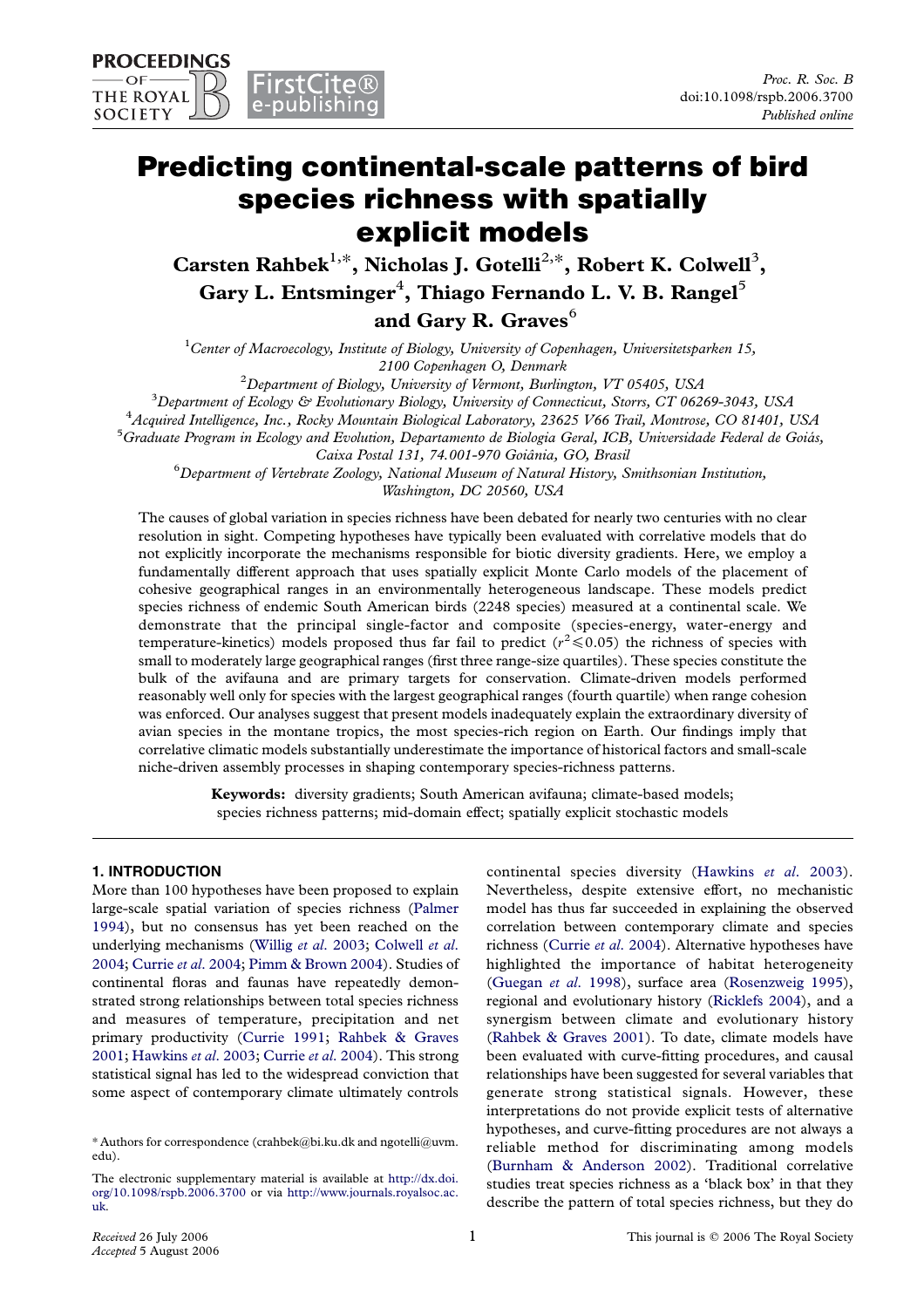# Predicting continental-scale patterns of bird species richness with spatially explicit models

Carsten Rahbek $^{1,*}$ , Nicholas J. Gotelli $^{2,*}$ , Robert K. Colwell $^3$ , Gary L. Entsminger $^4$ , Thiago Fernando L. V. B. Rangel $^5$ and Gary R. Graves $<sup>6</sup>$ </sup>

<sup>1</sup>Center of Macroecology, Institute of Biology, University of Copenhagen, Universitetsparken 15, 2100 Copenhagen O, Denmark<br><sup>2</sup>Department of Pieleau, Huinanity of Vennont, Purlin

<sup>2</sup> Department of Biology, University of Vermont, Burlington, VT 05405, USA<br><sup>3</sup> Department of Feelogy & Fuchstion any Biology, University of Connecticut, Steves, CT 062

 ${}^{3}$ Department of Ecology & Evolutionary Biology, University of Connecticut, Storrs, CT 06269-3043, USA

<sup>4</sup> Acquired Intelligence, Inc., Rocky Mountain Biological Laboratory, 23625 V66 Trail, Montrose, CO 81401, USA

<sup>5</sup> Graduate Program in Ecology and Evolution, Departamento de Biologia Geral, ICB, Universidade Federal de Goiás, Caixa Postal 131, 74.001-970 Goiânia, GO, Brasil

Department of Vertebrate Zoology, National Museum of Natural History, Smithsonian Institution, Washington, DC 20560, USA

The causes of global variation in species richness have been debated for nearly two centuries with no clear resolution in sight. Competing hypotheses have typically been evaluated with correlative models that do not explicitly incorporate the mechanisms responsible for biotic diversity gradients. Here, we employ a fundamentally different approach that uses spatially explicit Monte Carlo models of the placement of cohesive geographical ranges in an environmentally heterogeneous landscape. These models predict species richness of endemic South American birds (2248 species) measured at a continental scale. We demonstrate that the principal single-factor and composite (species-energy, water-energy and temperature-kinetics) models proposed thus far fail to predict ( $r^2 \le 0.05$ ) the richness of species with small to moderately large geographical ranges (first three range-size quartiles). These species constitute the bulk of the avifauna and are primary targets for conservation. Climate-driven models performed reasonably well only for species with the largest geographical ranges (fourth quartile) when range cohesion was enforced. Our analyses suggest that present models inadequately explain the extraordinary diversity of avian species in the montane tropics, the most species-rich region on Earth. Our findings imply that correlative climatic models substantially underestimate the importance of historical factors and small-scale niche-driven assembly processes in shaping contemporary species-richness patterns.

> Keywords: diversity gradients; South American avifauna; climate-based models; species richness patterns; mid-domain effect; spatially explicit stochastic models

# 1. INTRODUCTION

More than 100 hypotheses have been proposed to explain large-scale spatial variation of species richness [\(Palmer](#page-8-0) [1994](#page-8-0)), but no consensus has yet been reached on the underlying mechanisms (Willig et al[. 2003](#page-9-0); [Colwell](#page-8-0) et al. [2004](#page-8-0); [Currie](#page-8-0) et al. 2004; [Pimm & Brown 2004\)](#page-8-0). Studies of continental floras and faunas have repeatedly demonstrated strong relationships between total species richness and measures of temperature, precipitation and net primary productivity [\(Currie 1991;](#page-8-0) [Rahbek & Graves](#page-8-0) [2001](#page-8-0); [Hawkins](#page-8-0) et al. 2003; [Currie](#page-8-0) et al. 2004). This strong statistical signal has led to the widespread conviction that some aspect of contemporary climate ultimately controls

continental species diversity ([Hawkins](#page-8-0) et al. 2003). Nevertheless, despite extensive effort, no mechanistic model has thus far succeeded in explaining the observed correlation between contemporary climate and species richness [\(Currie](#page-8-0) et al. 2004). Alternative hypotheses have highlighted the importance of habitat heterogeneity ([Guegan](#page-8-0) et al. 1998), surface area ([Rosenzweig 1995](#page-9-0)), regional and evolutionary history [\(Ricklefs 2004\)](#page-9-0), and a synergism between climate and evolutionary history ([Rahbek & Graves 2001\)](#page-8-0). To date, climate models have been evaluated with curve-fitting procedures, and causal relationships have been suggested for several variables that generate strong statistical signals. However, these interpretations do not provide explicit tests of alternative hypotheses, and curve-fitting procedures are not always a reliable method for discriminating among models ([Burnham & Anderson 2002](#page-8-0)). Traditional correlative studies treat species richness as a 'black box' in that they describe the pattern of total species richness, but they do

<sup>\*</sup> Authors for correspondence (crahbek@bi.ku.dk and ngotelli@uvm. edu).

The electronic supplementary material is available at [http://dx.doi.](http://dx.doi.org/10.1098/rspb.2006.3700) [org/10.1098/rspb.2006.3700](http://dx.doi.org/10.1098/rspb.2006.3700) or via [http://www.journals.royalsoc.ac.](http://www.journals.royalsoc.ac.uk) [uk.](http://www.journals.royalsoc.ac.uk)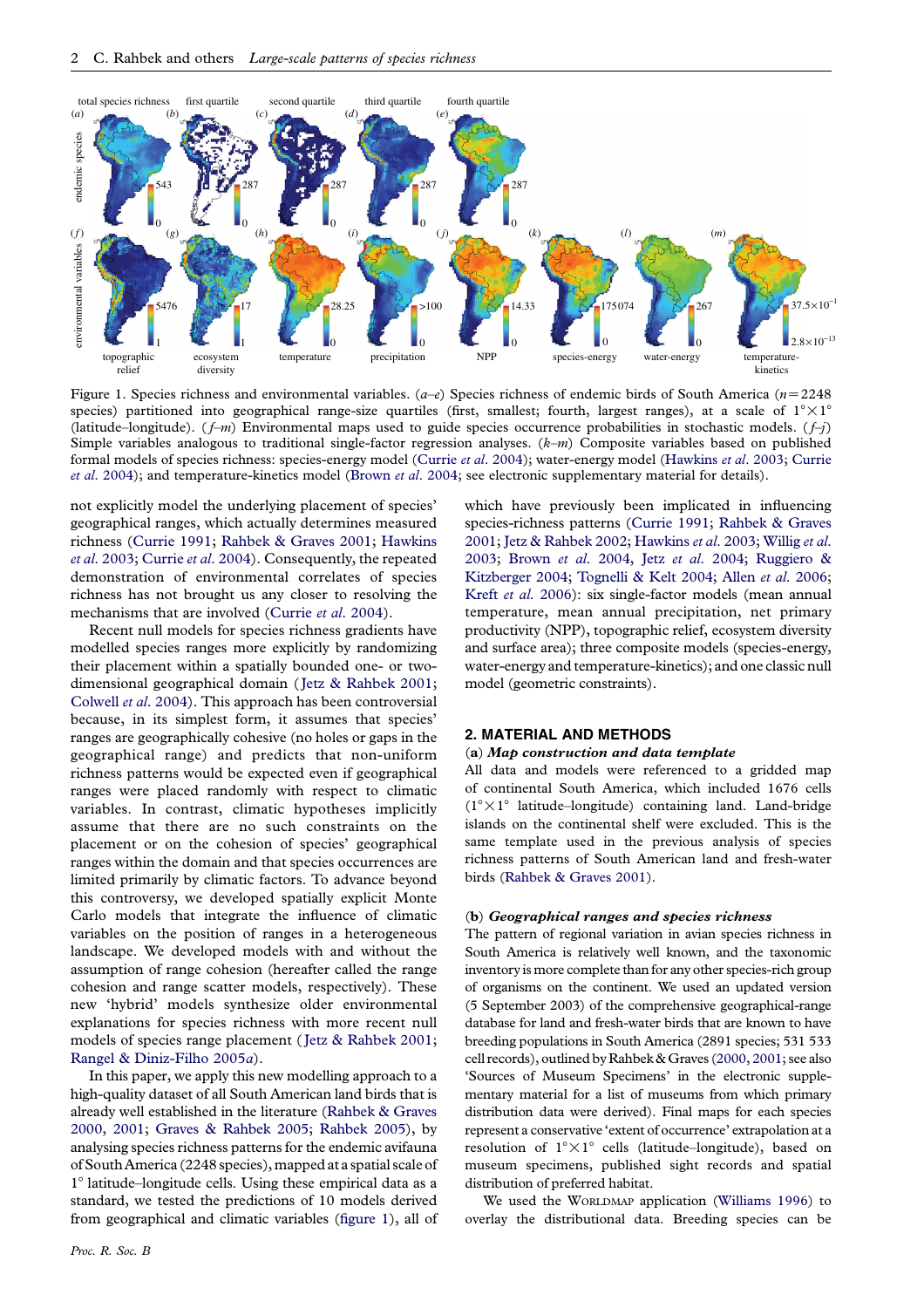<span id="page-1-0"></span>

Figure 1. Species richness and environmental variables.  $(a-e)$  Species richness of endemic birds of South America ( $n=2248$ ) species) partitioned into geographical range-size quartiles (first, smallest; fourth, largest ranges), at a scale of  $1^{\circ} \times 1^{\circ}$ (latitude–longitude).  $(f-m)$  Environmental maps used to guide species occurrence probabilities in stochastic models.  $(f-j)$ Simple variables analogous to traditional single-factor regression analyses.  $(k-m)$  Composite variables based on published formal models of species richness: species-energy model ([Currie](#page-8-0) et al. 2004); water-energy model [\(Hawkins](#page-8-0) et al. 2003; Currie et al[. 2004](#page-8-0)); and temperature-kinetics model ([Brown](#page-8-0) et al. 2004; see electronic supplementary material for details).

not explicitly model the underlying placement of species' geographical ranges, which actually determines measured richness [\(Currie 1991;](#page-8-0) [Rahbek & Graves 2001;](#page-8-0) [Hawkins](#page-8-0) et al[. 2003;](#page-8-0) [Currie](#page-8-0) et al. 2004). Consequently, the repeated demonstration of environmental correlates of species richness has not brought us any closer to resolving the mechanisms that are involved ([Currie](#page-8-0) et al. 2004).

Recent null models for species richness gradients have modelled species ranges more explicitly by randomizing their placement within a spatially bounded one- or twodimensional geographical domain ([Jetz & Rahbek 2001;](#page-8-0) [Colwell](#page-8-0) et al. 2004). This approach has been controversial because, in its simplest form, it assumes that species' ranges are geographically cohesive (no holes or gaps in the geographical range) and predicts that non-uniform richness patterns would be expected even if geographical ranges were placed randomly with respect to climatic variables. In contrast, climatic hypotheses implicitly assume that there are no such constraints on the placement or on the cohesion of species' geographical ranges within the domain and that species occurrences are limited primarily by climatic factors. To advance beyond this controversy, we developed spatially explicit Monte Carlo models that integrate the influence of climatic variables on the position of ranges in a heterogeneous landscape. We developed models with and without the assumption of range cohesion (hereafter called the range cohesion and range scatter models, respectively). These new 'hybrid' models synthesize older environmental explanations for species richness with more recent null models of species range placement ([Jetz & Rahbek 2001;](#page-8-0) [Rangel & Diniz-Filho 2005](#page-8-0)a).

In this paper, we apply this new modelling approach to a high-quality dataset of all South American land birds that is already well established in the literature ([Rahbek & Graves](#page-8-0) [2000,](#page-8-0) [2001](#page-8-0); [Graves & Rahbek 2005;](#page-8-0) [Rahbek 2005](#page-8-0)), by analysing species richness patterns for the endemic avifauna of South America (2248 species), mapped at a spatial scale of 18 latitude–longitude cells. Using these empirical data as a standard, we tested the predictions of 10 models derived from geographical and climatic variables (figure 1), all of which have previously been implicated in influencing species-richness patterns [\(Currie 1991;](#page-8-0) [Rahbek & Graves](#page-8-0) [2001;](#page-8-0) [Jetz & Rahbek 2002;](#page-8-0) [Hawkins](#page-8-0) et al. 2003; [Willig](#page-9-0) et al. [2003;](#page-9-0) Brown et al[. 2004,](#page-8-0) Jetz et al[. 2004](#page-8-0); [Ruggiero &](#page-9-0) [Kitzberger 2004;](#page-9-0) [Tognelli & Kelt 2004](#page-9-0); Allen et al[. 2006;](#page-8-0) Kreft et al[. 2006](#page-8-0)): six single-factor models (mean annual temperature, mean annual precipitation, net primary productivity (NPP), topographic relief, ecosystem diversity and surface area); three composite models (species-energy, water-energy and temperature-kinetics); and one classic null model (geometric constraints).

## 2. MATERIAL AND METHODS

## (a) Map construction and data template

All data and models were referenced to a gridded map of continental South America, which included 1676 cells  $(1^\circ \times 1^\circ)$  latitude–longitude) containing land. Land-bridge islands on the continental shelf were excluded. This is the same template used in the previous analysis of species richness patterns of South American land and fresh-water birds [\(Rahbek & Graves 2001](#page-8-0)).

## (b) Geographical ranges and species richness

The pattern of regional variation in avian species richness in South America is relatively well known, and the taxonomic inventory is more complete than for any other species-rich group of organisms on the continent. We used an updated version (5 September 2003) of the comprehensive geographical-range database for land and fresh-water birds that are known to have breeding populations in South America (2891 species; 531 533 cell records), outlined by Rahbek & Graves [\(2000,](#page-8-0) [2001;](#page-8-0) see also 'Sources of Museum Specimens' in the electronic supplementary material for a list of museums from which primary distribution data were derived). Final maps for each species represent a conservative 'extent of occurrence' extrapolation at a resolution of  $1^{\circ} \times 1^{\circ}$  cells (latitude–longitude), based on museum specimens, published sight records and spatial distribution of preferred habitat.

We used the WORLDMAP application [\(Williams 1996](#page-9-0)) to overlay the distributional data. Breeding species can be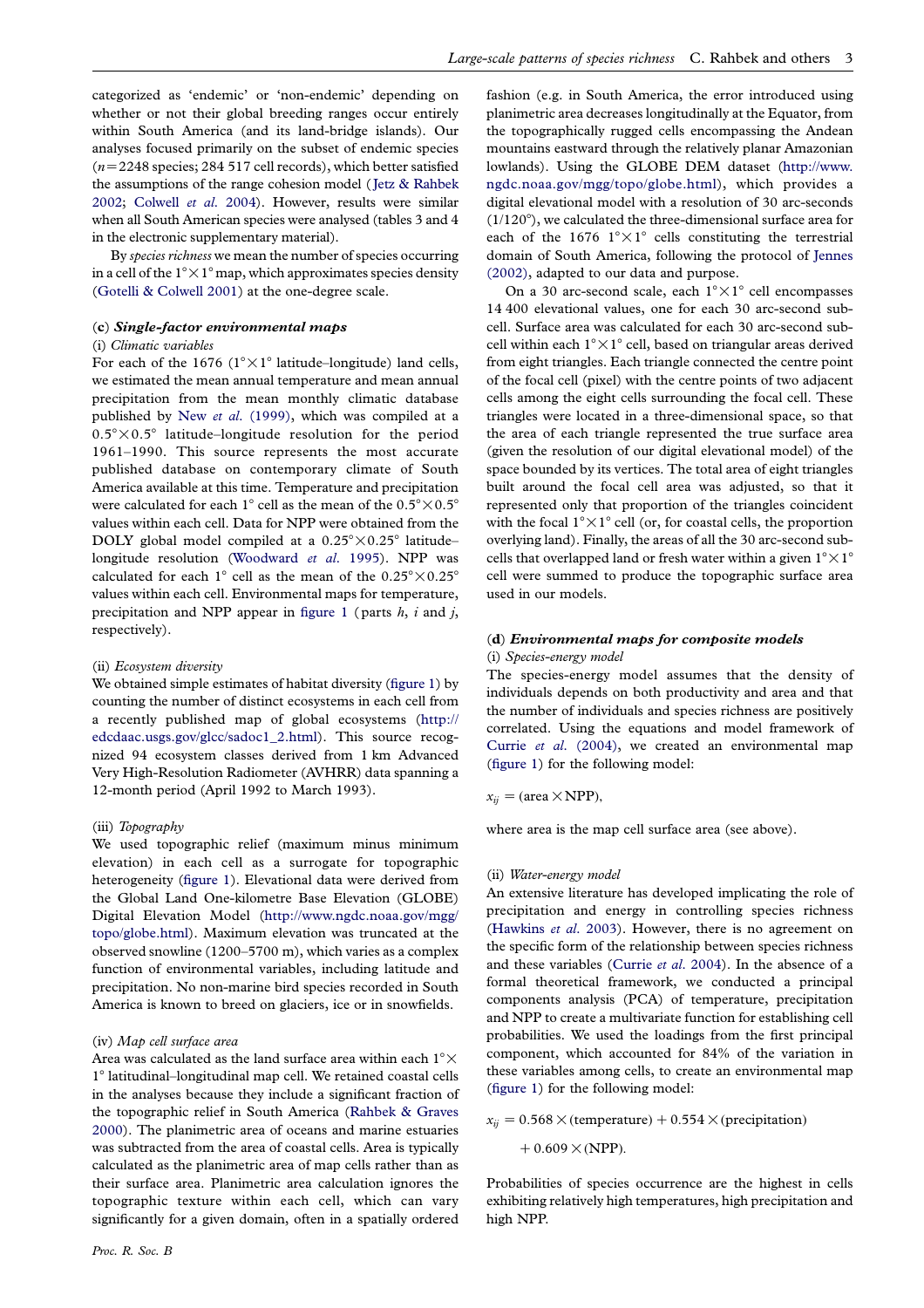categorized as 'endemic' or 'non-endemic' depending on whether or not their global breeding ranges occur entirely within South America (and its land-bridge islands). Our analyses focused primarily on the subset of endemic species  $(n=2248$  species; 284 517 cell records), which better satisfied the assumptions of the range cohesion model ([Jetz & Rahbek](#page-8-0) [2002;](#page-8-0) [Colwell](#page-8-0) et al. 2004). However, results were similar when all South American species were analysed (tables 3 and 4 in the electronic supplementary material).

By species richness we mean the number of species occurring in a cell of the  $1^{\circ} \times 1^{\circ}$  map, which approximates species density ([Gotelli & Colwell 2001](#page-8-0)) at the one-degree scale.

## (c) Single-factor environmental maps

## (i) Climatic variables

For each of the 1676 ( $1^{\circ} \times 1^{\circ}$  latitude–longitude) land cells, we estimated the mean annual temperature and mean annual precipitation from the mean monthly climatic database published by New et al[. \(1999\)](#page-8-0), which was compiled at a  $0.5^{\circ}\times0.5^{\circ}$  latitude–longitude resolution for the period 1961–1990. This source represents the most accurate published database on contemporary climate of South America available at this time. Temperature and precipitation were calculated for each 1° cell as the mean of the  $0.5^{\circ} \times 0.5^{\circ}$ values within each cell. Data for NPP were obtained from the DOLY global model compiled at a  $0.25^{\circ} \times 0.25^{\circ}$  latitude– longitude resolution [\(Woodward](#page-9-0) et al. 1995). NPP was calculated for each 1° cell as the mean of the  $0.25^{\circ} \times 0.25^{\circ}$ values within each cell. Environmental maps for temperature, precipitation and NPP appear in [figure 1](#page-1-0) (parts  $h$ ,  $i$  and  $j$ , respectively).

#### (ii) Ecosystem diversity

We obtained simple estimates of habitat diversity [\(figure 1\)](#page-1-0) by counting the number of distinct ecosystems in each cell from a recently published map of global ecosystems [\(http://](http://edcdaac.usgs.gov/glcc/sadoc1_2.html) [edcdaac.usgs.gov/glcc/sadoc1\\_2.html](http://edcdaac.usgs.gov/glcc/sadoc1_2.html)). This source recognized 94 ecosystem classes derived from 1 km Advanced Very High-Resolution Radiometer (AVHRR) data spanning a 12-month period (April 1992 to March 1993).

#### (iii) Topography

We used topographic relief (maximum minus minimum elevation) in each cell as a surrogate for topographic heterogeneity [\(figure 1](#page-1-0)). Elevational data were derived from the Global Land One-kilometre Base Elevation (GLOBE) Digital Elevation Model [\(http://www.ngdc.noaa.gov/mgg/](http://www.ngdc.noaa.gov/mgg/topo/globe.html) [topo/globe.html](http://www.ngdc.noaa.gov/mgg/topo/globe.html)). Maximum elevation was truncated at the observed snowline (1200–5700 m), which varies as a complex function of environmental variables, including latitude and precipitation. No non-marine bird species recorded in South America is known to breed on glaciers, ice or in snowfields.

## (iv) Map cell surface area

Area was calculated as the land surface area within each  $1^{\circ}\times$ 18 latitudinal–longitudinal map cell. We retained coastal cells in the analyses because they include a significant fraction of the topographic relief in South America [\(Rahbek & Graves](#page-8-0) [2000](#page-8-0)). The planimetric area of oceans and marine estuaries was subtracted from the area of coastal cells. Area is typically calculated as the planimetric area of map cells rather than as their surface area. Planimetric area calculation ignores the topographic texture within each cell, which can vary significantly for a given domain, often in a spatially ordered fashion (e.g. in South America, the error introduced using planimetric area decreases longitudinally at the Equator, from the topographically rugged cells encompassing the Andean mountains eastward through the relatively planar Amazonian lowlands). Using the GLOBE DEM dataset [\(http://www.](http://www.ngdc.noaa.gov/seg/topo/globe.html) [ngdc.noaa.gov/mgg/topo/globe.html\)](http://www.ngdc.noaa.gov/seg/topo/globe.html), which provides a digital elevational model with a resolution of 30 arc-seconds  $(1/120^{\circ})$ , we calculated the three-dimensional surface area for each of the 1676  $1^{\circ} \times 1^{\circ}$  cells constituting the terrestrial domain of South America, following the protocol of [Jennes](#page-8-0) [\(2002\)](#page-8-0), adapted to our data and purpose.

On a 30 arc-second scale, each  $1^{\circ} \times 1^{\circ}$  cell encompasses 14 400 elevational values, one for each 30 arc-second subcell. Surface area was calculated for each 30 arc-second subcell within each  $1^{\circ} \times 1^{\circ}$  cell, based on triangular areas derived from eight triangles. Each triangle connected the centre point of the focal cell (pixel) with the centre points of two adjacent cells among the eight cells surrounding the focal cell. These triangles were located in a three-dimensional space, so that the area of each triangle represented the true surface area (given the resolution of our digital elevational model) of the space bounded by its vertices. The total area of eight triangles built around the focal cell area was adjusted, so that it represented only that proportion of the triangles coincident with the focal  $1^{\circ} \times 1^{\circ}$  cell (or, for coastal cells, the proportion overlying land). Finally, the areas of all the 30 arc-second subcells that overlapped land or fresh water within a given  $1^{\circ} \times 1^{\circ}$ cell were summed to produce the topographic surface area used in our models.

## (d) Environmental maps for composite models (i) Species-energy model

The species-energy model assumes that the density of individuals depends on both productivity and area and that the number of individuals and species richness are positively correlated. Using the equations and model framework of Currie et al[. \(2004\),](#page-8-0) we created an environmental map ([figure 1\)](#page-1-0) for the following model:

## $x_{ii} = (\text{area} \times \text{NPP})$ ,

where area is the map cell surface area (see above).

#### (ii) Water-energy model

An extensive literature has developed implicating the role of precipitation and energy in controlling species richness ([Hawkins](#page-8-0) et al. 2003). However, there is no agreement on the specific form of the relationship between species richness and these variables [\(Currie](#page-8-0) et al. 2004). In the absence of a formal theoretical framework, we conducted a principal components analysis (PCA) of temperature, precipitation and NPP to create a multivariate function for establishing cell probabilities. We used the loadings from the first principal component, which accounted for 84% of the variation in these variables among cells, to create an environmental map ([figure 1\)](#page-1-0) for the following model:

 $x_{ii} = 0.568 \times (temperature) + 0.554 \times (precision)$ 

 $+0.609 \times (NPP)$ .

Probabilities of species occurrence are the highest in cells exhibiting relatively high temperatures, high precipitation and high NPP.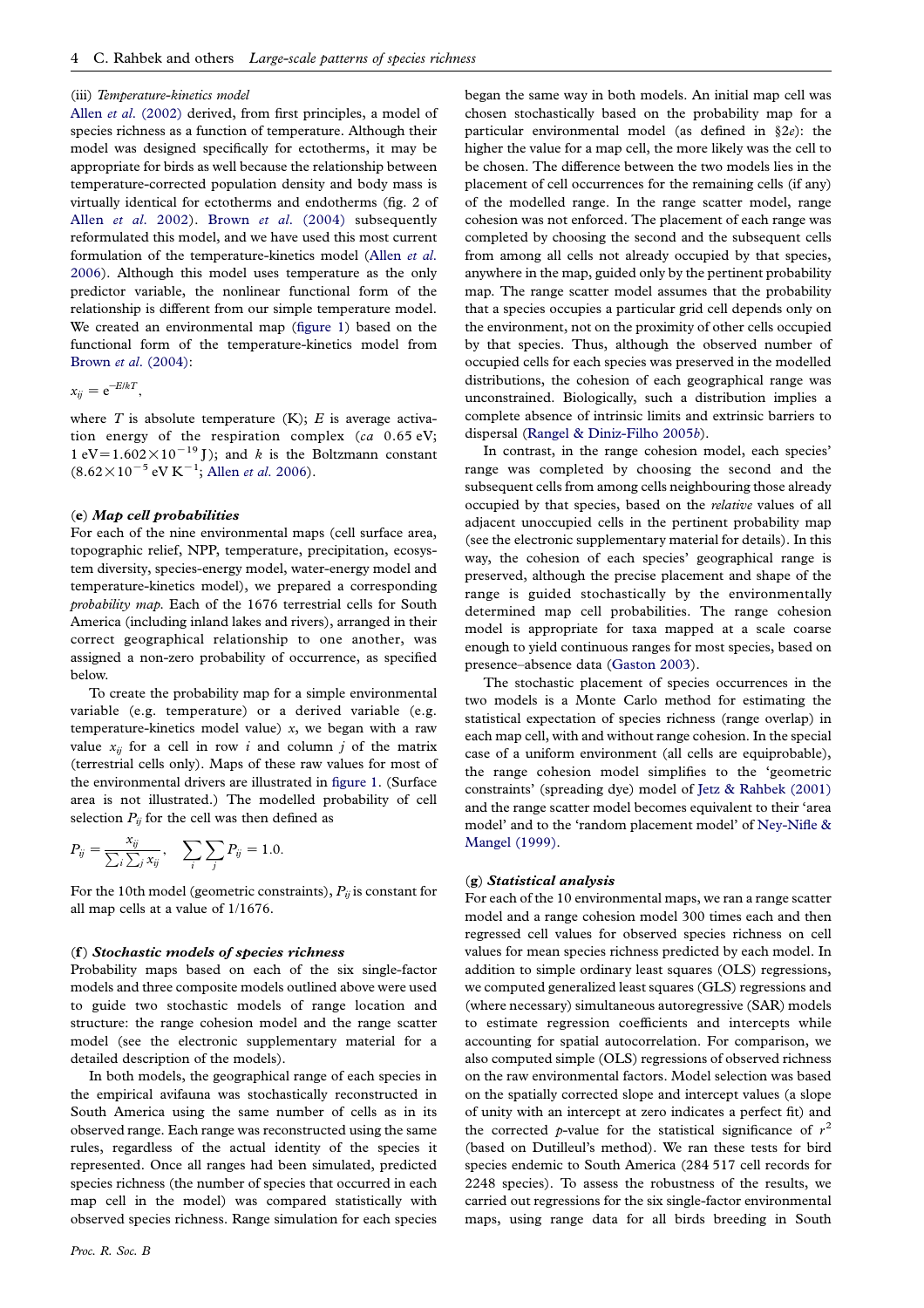### (iii) Temperature-kinetics model

Allen et al[. \(2002\)](#page-8-0) derived, from first principles, a model of species richness as a function of temperature. Although their model was designed specifically for ectotherms, it may be appropriate for birds as well because the relationship between temperature-corrected population density and body mass is virtually identical for ectotherms and endotherms (fig. 2 of Allen et al[. 2002\)](#page-8-0). Brown et al[. \(2004\)](#page-8-0) subsequently reformulated this model, and we have used this most current formulation of the temperature-kinetics model ([Allen](#page-8-0) et al. [2006](#page-8-0)). Although this model uses temperature as the only predictor variable, the nonlinear functional form of the relationship is different from our simple temperature model. We created an environmental map [\(figure 1](#page-1-0)) based on the functional form of the temperature-kinetics model from Brown et al[. \(2004\):](#page-8-0)

 $x_{ij} = e^{-E/kT}$ ,

where T is absolute temperature  $(K)$ ; E is average activation energy of the respiration complex  $(ca 0.65 eV;$ 1 eV=1.602 $\times$ 10<sup>-19</sup> J); and k is the Boltzmann constant  $(8.62 \times 10^{-5} \text{ eV K}^{-1})$ ; Allen *et al.* 2006).

#### (e) Map cell probabilities

For each of the nine environmental maps (cell surface area, topographic relief, NPP, temperature, precipitation, ecosystem diversity, species-energy model, water-energy model and temperature-kinetics model), we prepared a corresponding probability map. Each of the 1676 terrestrial cells for South America (including inland lakes and rivers), arranged in their correct geographical relationship to one another, was assigned a non-zero probability of occurrence, as specified below.

To create the probability map for a simple environmental variable (e.g. temperature) or a derived variable (e.g. temperature-kinetics model value)  $x$ , we began with a raw value  $x_{ii}$  for a cell in row i and column j of the matrix (terrestrial cells only). Maps of these raw values for most of the environmental drivers are illustrated in [figure 1](#page-1-0). (Surface area is not illustrated.) The modelled probability of cell selection  $P_{ij}$  for the cell was then defined as

$$
P_{ij} = \frac{x_{ij}}{\sum_i \sum_j x_{ij}}, \quad \sum_i \sum_j P_{ij} = 1.0.
$$

For the 10th model (geometric constraints),  $P_{ij}$  is constant for all map cells at a value of 1/1676.

## (f) Stochastic models of species richness

Probability maps based on each of the six single-factor models and three composite models outlined above were used to guide two stochastic models of range location and structure: the range cohesion model and the range scatter model (see the electronic supplementary material for a detailed description of the models).

In both models, the geographical range of each species in the empirical avifauna was stochastically reconstructed in South America using the same number of cells as in its observed range. Each range was reconstructed using the same rules, regardless of the actual identity of the species it represented. Once all ranges had been simulated, predicted species richness (the number of species that occurred in each map cell in the model) was compared statistically with observed species richness. Range simulation for each species began the same way in both models. An initial map cell was chosen stochastically based on the probability map for a particular environmental model (as defined in §2e): the higher the value for a map cell, the more likely was the cell to be chosen. The difference between the two models lies in the placement of cell occurrences for the remaining cells (if any) of the modelled range. In the range scatter model, range cohesion was not enforced. The placement of each range was completed by choosing the second and the subsequent cells from among all cells not already occupied by that species, anywhere in the map, guided only by the pertinent probability map. The range scatter model assumes that the probability that a species occupies a particular grid cell depends only on the environment, not on the proximity of other cells occupied by that species. Thus, although the observed number of occupied cells for each species was preserved in the modelled distributions, the cohesion of each geographical range was unconstrained. Biologically, such a distribution implies a complete absence of intrinsic limits and extrinsic barriers to dispersal ([Rangel & Diniz-Filho 2005](#page-9-0)b).

In contrast, in the range cohesion model, each species' range was completed by choosing the second and the subsequent cells from among cells neighbouring those already occupied by that species, based on the relative values of all adjacent unoccupied cells in the pertinent probability map (see the electronic supplementary material for details). In this way, the cohesion of each species' geographical range is preserved, although the precise placement and shape of the range is guided stochastically by the environmentally determined map cell probabilities. The range cohesion model is appropriate for taxa mapped at a scale coarse enough to yield continuous ranges for most species, based on presence–absence data ([Gaston 2003\)](#page-8-0).

The stochastic placement of species occurrences in the two models is a Monte Carlo method for estimating the statistical expectation of species richness (range overlap) in each map cell, with and without range cohesion. In the special case of a uniform environment (all cells are equiprobable), the range cohesion model simplifies to the 'geometric constraints' (spreading dye) model of [Jetz & Rahbek \(2001\)](#page-8-0) and the range scatter model becomes equivalent to their 'area model' and to the 'random placement model' of [Ney-Nifle &](#page-8-0) [Mangel \(1999\)](#page-8-0).

### (g) Statistical analysis

For each of the 10 environmental maps, we ran a range scatter model and a range cohesion model 300 times each and then regressed cell values for observed species richness on cell values for mean species richness predicted by each model. In addition to simple ordinary least squares (OLS) regressions, we computed generalized least squares (GLS) regressions and (where necessary) simultaneous autoregressive (SAR) models to estimate regression coefficients and intercepts while accounting for spatial autocorrelation. For comparison, we also computed simple (OLS) regressions of observed richness on the raw environmental factors. Model selection was based on the spatially corrected slope and intercept values (a slope of unity with an intercept at zero indicates a perfect fit) and the corrected p-value for the statistical significance of  $r^2$ (based on Dutilleul's method). We ran these tests for bird species endemic to South America (284 517 cell records for 2248 species). To assess the robustness of the results, we carried out regressions for the six single-factor environmental maps, using range data for all birds breeding in South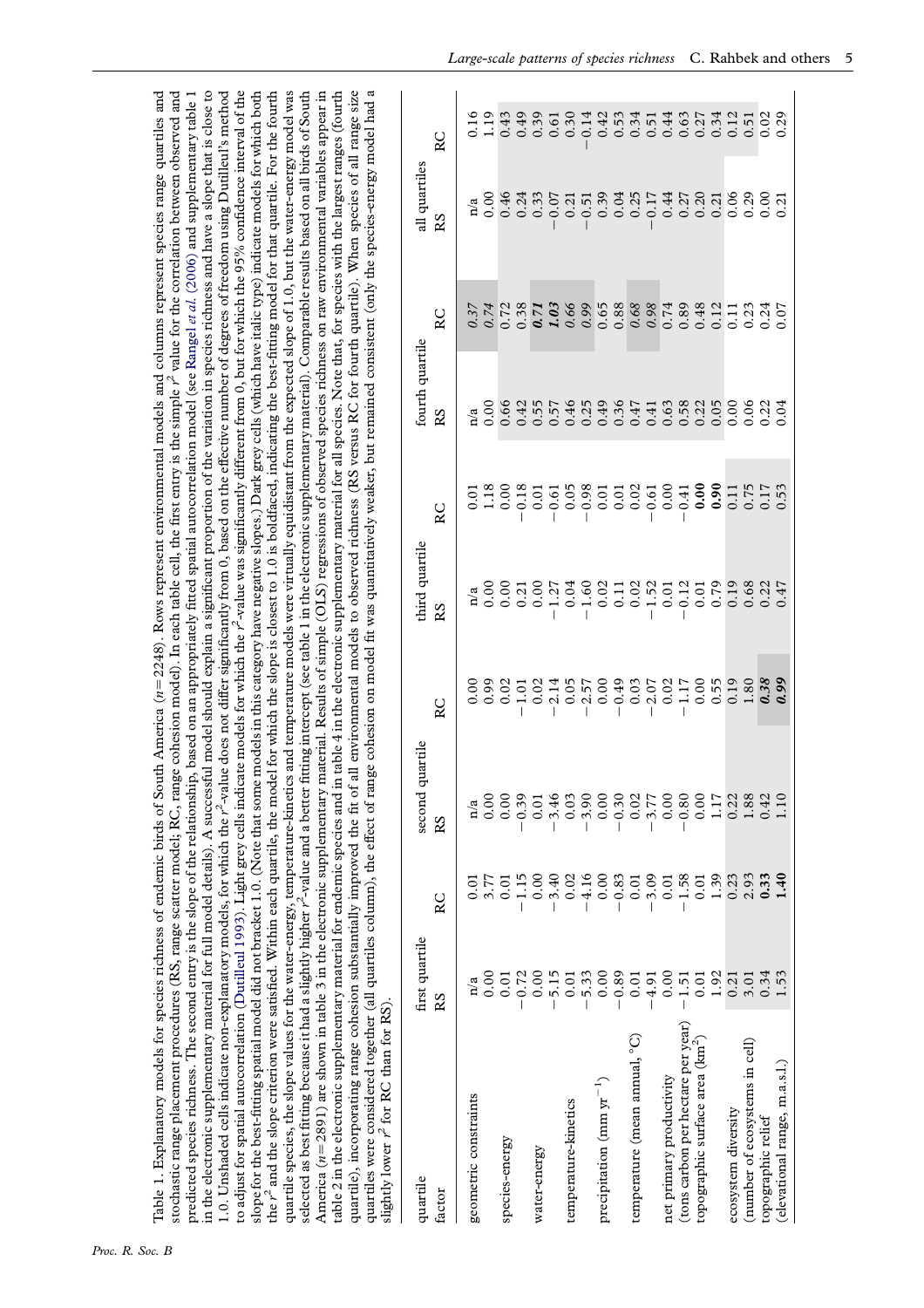<span id="page-4-0"></span>

| slightly lower $r^2$ for RC than for RS).                                                                                                                                                                             |
|-----------------------------------------------------------------------------------------------------------------------------------------------------------------------------------------------------------------------|
| quartiles were considered together (all quartiles column), the effect of range cohesion on model fit was quantitatively weaker, but remained consistent (only the species-energy model had a                          |
| quartile), incorporating range cohesion substantially improved the fit of all environmental models to observed richness (RS versus RC for fourth quartile). When species of all range size                            |
| table 2 in the electronic supplementary material for endemic species and in table 4 in the electronic supplementary material for all species. Note that, for species with the largest ranges (fourth                  |
| America $(n=2891)$ are shown in table 3 in the electronic supplementary material. Results of simple (OLS) regressions of observed species richness on raw environmental variables appear in                           |
| selected as best fitting because it had a slightly higher r <sup>4</sup> -value and a better fitting intercept (see table 1 in the electronic supplementary material). Comparable results based on all birds of South |
| quartile species, the slope values for the water-energy, temperature-kinetics and temperature models were virtually equidistant from the expected slope of 1.0, but the water-energy model was                        |
| the r <sup>2</sup> and the slope criterion were satisfied. Within each quartile, the model for which the slope is closest to 1.0 is boldfaced, indicating the best-fitting model for that quartile. For the fourth    |
| slope for the best-fitting spatial model did not bracket 1.0. (Note that some models in this category have negative slopes.) Dark grey cells (which have italic type) indicate models for which both                  |
| to adjust for spatial autocorrelation (Dutilleul 1993). Light grey cells indicate models for which the $r^{\star}$ -value was significantly different from 0, but for which the 95% confidence interval of the        |
| 1.0. Unshaded cells indicate non-explanatory models, for which the r <sup>2-</sup> value does not differ significantly from 0, based on the effective number of degrees of freedom using Dutilleul's method           |
| in the electronic supplementary material for full model details). A successful model should explain a significant proportion of the variation in species richness and have a slope that is close to                   |
| predicted species richness. The second entry is the slope of the relationship, based on an appropriately fitted spatial autocorrelation model (see Rangel et al. (2006) and supplementary table 1                     |
| stochastic range placement procedures (RS, range scatter model; RC, range cohesion model). In each table cell, the first entry is the simple r value for the correlation between observed and                         |
| Table 1. Explanatory models for species richness of endemic birds of South America $(n=2248)$ . Rows represent environmental models and columns represent species range quartiles and                                 |

| quartile                                    | first quartile |                        | second quartile |    |                      |           |                       |    |                     |    |
|---------------------------------------------|----------------|------------------------|-----------------|----|----------------------|-----------|-----------------------|----|---------------------|----|
| factor                                      | RS             | RC                     | RS              | RC | third quartile<br>RS | <b>RC</b> | fourth quartile<br>RS | RC | all quartiles<br>RS | RC |
| geometric constraints                       | n/a            | $\overline{0.0}$       | n/a             |    |                      |           |                       |    |                     |    |
|                                             | 0.00           | 3.77                   | 0.00            |    |                      |           |                       |    |                     |    |
| species-energy                              | 0.01           | 0.01                   | 0.00            |    |                      |           |                       |    |                     |    |
|                                             | 0.72           | $-1.15$                | 0.39            |    |                      |           |                       |    |                     |    |
| water-energy                                | 0.00           | 0.00                   | 0.01            |    |                      |           |                       |    |                     |    |
|                                             | $-5.15$        | $-3.40$                | $-3.46$         |    |                      |           |                       |    |                     |    |
| temperature-kinetics                        | 0.01           | 0.02                   | 0.03            |    |                      |           |                       |    |                     |    |
|                                             | $-5.33$        | $-4.16$                | $-3.90$         |    |                      |           |                       |    |                     |    |
| precipitation (mm $yr^{-1}$ )               | 0.00           | 0.00                   | 0.00            |    |                      |           |                       |    |                     |    |
|                                             | $-0.89$        | $-0.83$                | $-0.30$         |    |                      |           |                       |    |                     |    |
| temperature (mean annual, °C)               | 0.01           | 0.01                   | 0.02            |    |                      |           |                       |    |                     |    |
|                                             | $-4.91$        | $-3.09$                | $-3.77$         |    |                      |           |                       |    |                     |    |
| net primary productivity                    | 0.00           | 0.01                   | 0.00            |    |                      |           |                       |    |                     |    |
| (tons carbon per hectare per year)          | $-1.51$        | 1.58<br>$\overline{1}$ | $-0.80$         |    |                      |           |                       |    |                     |    |
| topographic surface area (km <sup>2</sup> ) | $\rm 0.01$     | 0.01                   | 0.00            |    |                      |           |                       |    |                     |    |
|                                             | 1.92           | 1.39                   | 1.17            |    |                      |           |                       |    |                     |    |
| ecosystem diversity                         | 0.21           | 0.23                   | 0.22            |    |                      |           |                       |    |                     |    |
| (number of ecosystems in cell)              | 3.01           | 2.93                   | 1.88            |    |                      |           |                       |    |                     |    |
| topographic relief                          | 0.34           | 0.33                   | 0.42            |    |                      |           |                       |    |                     |    |
| (elevational range, m.a.s.l.)               | 1.53           | $\ddot{=}$             | 10              |    |                      |           |                       |    |                     |    |
|                                             |                |                        |                 |    |                      |           |                       |    |                     |    |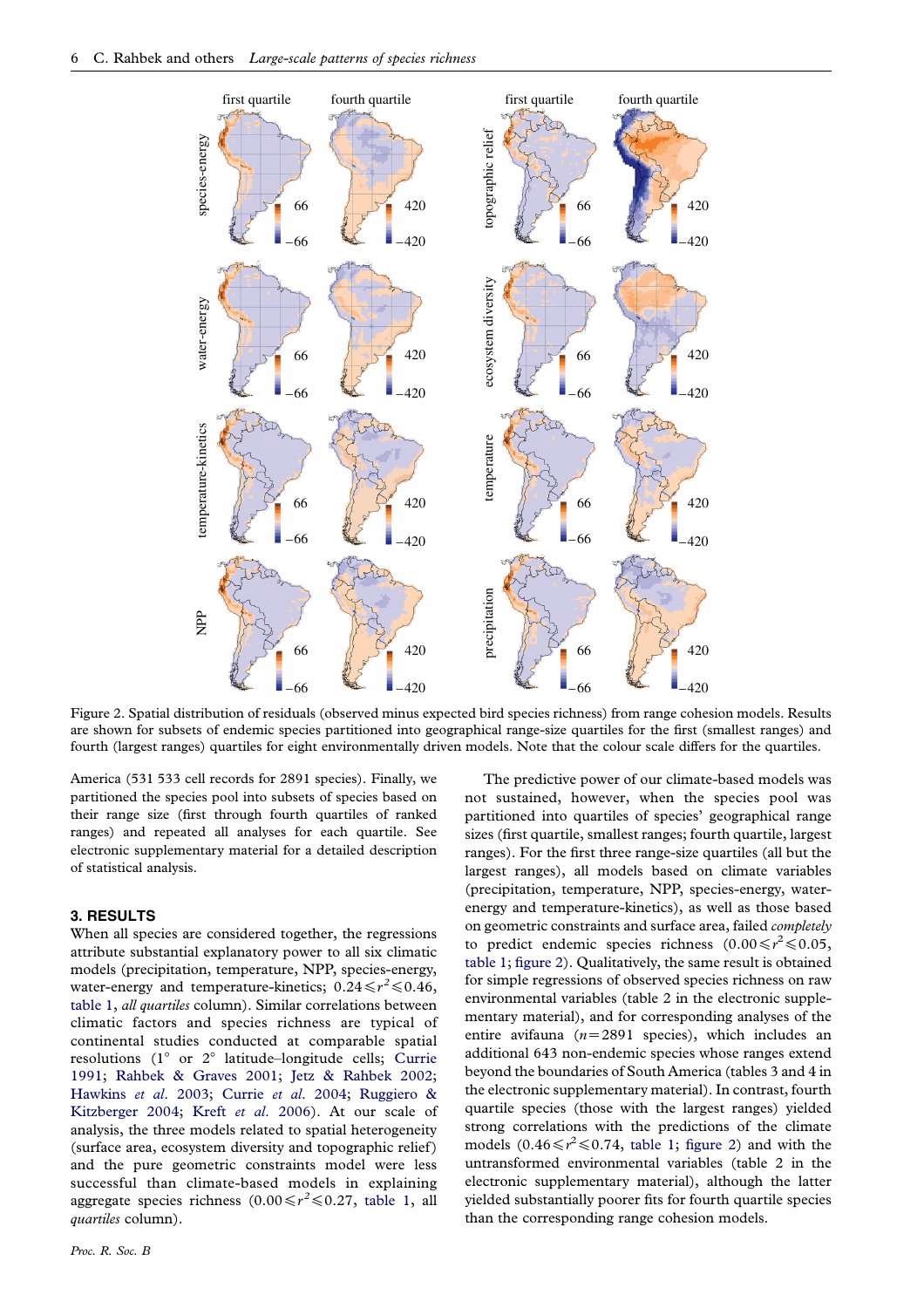<span id="page-5-0"></span>

Figure 2. Spatial distribution of residuals (observed minus expected bird species richness) from range cohesion models. Results are shown for subsets of endemic species partitioned into geographical range-size quartiles for the first (smallest ranges) and fourth (largest ranges) quartiles for eight environmentally driven models. Note that the colour scale differs for the quartiles.

America (531 533 cell records for 2891 species). Finally, we partitioned the species pool into subsets of species based on their range size (first through fourth quartiles of ranked ranges) and repeated all analyses for each quartile. See electronic supplementary material for a detailed description of statistical analysis.

# 3. RESULTS

When all species are considered together, the regressions attribute substantial explanatory power to all six climatic models (precipitation, temperature, NPP, species-energy, water-energy and temperature-kinetics;  $0.24 \le r^2 \le 0.46$ , [table 1](#page-4-0), all quartiles column). Similar correlations between climatic factors and species richness are typical of continental studies conducted at comparable spatial resolutions  $(1^{\circ}$  or  $2^{\circ}$  latitude–longitude cells; [Currie](#page-8-0) [1991](#page-8-0); [Rahbek & Graves 2001](#page-8-0); [Jetz & Rahbek 2002;](#page-8-0) [Hawkins](#page-8-0) et al. 2003; Currie et al[. 2004](#page-8-0); [Ruggiero &](#page-9-0) [Kitzberger 2004](#page-9-0); Kreft et al[. 2006](#page-8-0)). At our scale of analysis, the three models related to spatial heterogeneity (surface area, ecosystem diversity and topographic relief ) and the pure geometric constraints model were less successful than climate-based models in explaining aggregate species richness  $(0.00 \le r^2 \le 0.27$ , [table 1](#page-4-0), all quartiles column).

The predictive power of our climate-based models was not sustained, however, when the species pool was partitioned into quartiles of species' geographical range sizes (first quartile, smallest ranges; fourth quartile, largest ranges). For the first three range-size quartiles (all but the largest ranges), all models based on climate variables (precipitation, temperature, NPP, species-energy, waterenergy and temperature-kinetics), as well as those based on geometric constraints and surface area, failed completely to predict endemic species richness  $(0.00\leq r^2 \leq 0.05,$ [table 1;](#page-4-0) figure 2). Qualitatively, the same result is obtained for simple regressions of observed species richness on raw environmental variables (table 2 in the electronic supplementary material), and for corresponding analyses of the entire avifauna ( $n=2891$  species), which includes an additional 643 non-endemic species whose ranges extend beyond the boundaries of South America (tables 3 and 4 in the electronic supplementary material). In contrast, fourth quartile species (those with the largest ranges) yielded strong correlations with the predictions of the climate models  $(0.46 \le r^2 \le 0.74$ , [table 1;](#page-4-0) figure 2) and with the untransformed environmental variables (table 2 in the electronic supplementary material), although the latter yielded substantially poorer fits for fourth quartile species than the corresponding range cohesion models.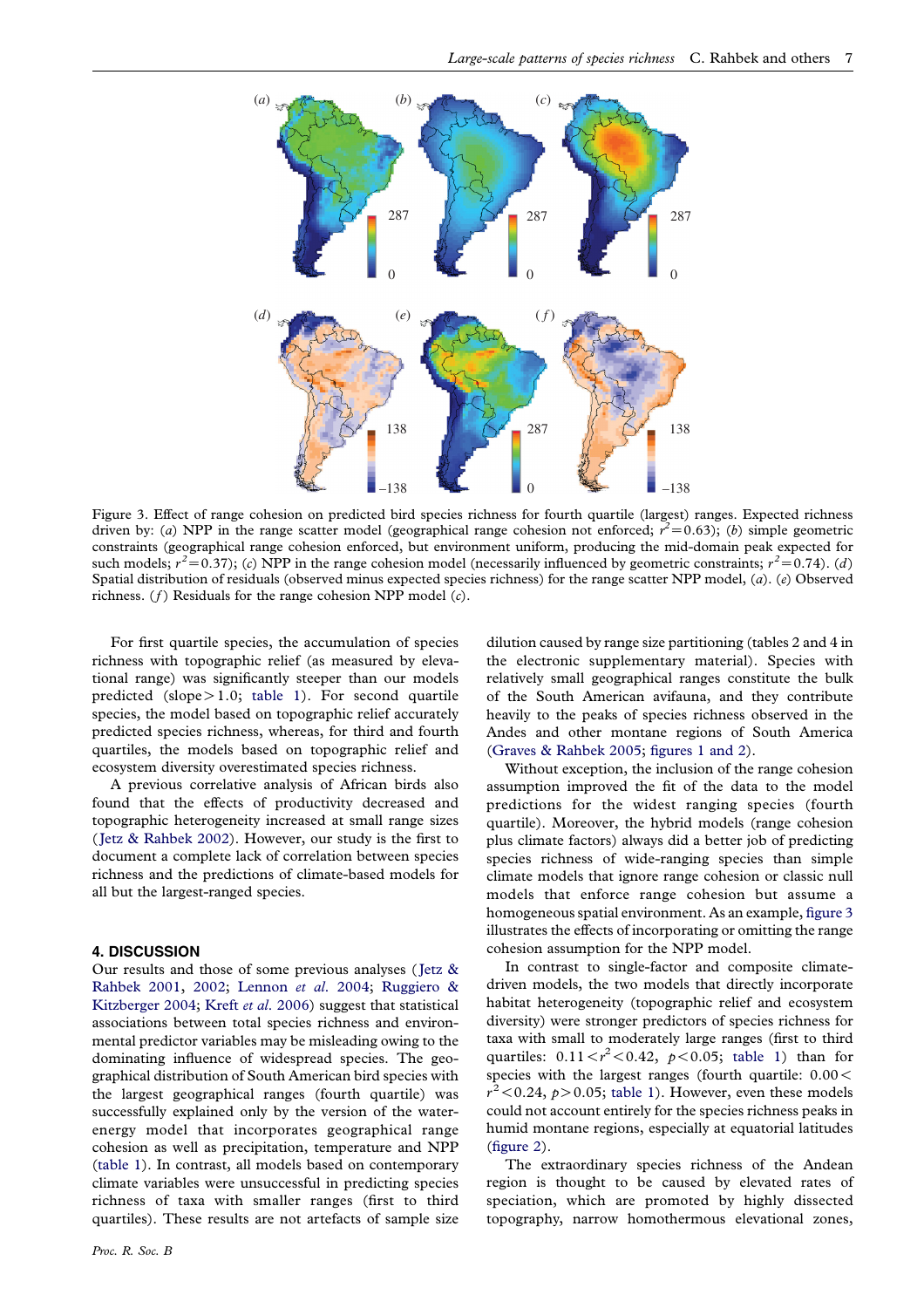

Figure 3. Effect of range cohesion on predicted bird species richness for fourth quartile (largest) ranges. Expected richness driven by: (a) NPP in the range scatter model (geographical range cohesion not enforced;  $r^2 = 0.63$ ); (b) simple geometric constraints (geographical range cohesion enforced, but environment uniform, producing the mid-domain peak expected for such models;  $r^2 = 0.37$ ); (c) NPP in the range cohesion model (necessarily influenced by geometric constraints;  $r^2 = 0.74$ ). (d) Spatial distribution of residuals (observed minus expected species richness) for the range scatter NPP model,  $(a)$ .  $(e)$  Observed richness. (*f*) Residuals for the range cohesion NPP model  $(c)$ .

For first quartile species, the accumulation of species richness with topographic relief (as measured by elevational range) was significantly steeper than our models predicted (slope $>1.0$ ; [table 1](#page-4-0)). For second quartile species, the model based on topographic relief accurately predicted species richness, whereas, for third and fourth quartiles, the models based on topographic relief and ecosystem diversity overestimated species richness.

A previous correlative analysis of African birds also found that the effects of productivity decreased and topographic heterogeneity increased at small range sizes ([Jetz & Rahbek 2002\)](#page-8-0). However, our study is the first to document a complete lack of correlation between species richness and the predictions of climate-based models for all but the largest-ranged species.

## 4. DISCUSSION

Our results and those of some previous analyses ([Jetz &](#page-8-0) [Rahbek 2001,](#page-8-0) [2002](#page-8-0); [Lennon](#page-8-0) et al. 2004; [Ruggiero &](#page-9-0) [Kitzberger 2004](#page-9-0); Kreft et al[. 2006](#page-8-0)) suggest that statistical associations between total species richness and environmental predictor variables may be misleading owing to the dominating influence of widespread species. The geographical distribution of South American bird species with the largest geographical ranges (fourth quartile) was successfully explained only by the version of the waterenergy model that incorporates geographical range cohesion as well as precipitation, temperature and NPP ([table 1](#page-4-0)). In contrast, all models based on contemporary climate variables were unsuccessful in predicting species richness of taxa with smaller ranges (first to third quartiles). These results are not artefacts of sample size dilution caused by range size partitioning (tables 2 and 4 in the electronic supplementary material). Species with relatively small geographical ranges constitute the bulk of the South American avifauna, and they contribute heavily to the peaks of species richness observed in the Andes and other montane regions of South America ([Graves & Rahbek 2005](#page-8-0); [figures 1 and 2](#page-1-0)).

Without exception, the inclusion of the range cohesion assumption improved the fit of the data to the model predictions for the widest ranging species (fourth quartile). Moreover, the hybrid models (range cohesion plus climate factors) always did a better job of predicting species richness of wide-ranging species than simple climate models that ignore range cohesion or classic null models that enforce range cohesion but assume a homogeneous spatial environment. As an example, figure 3 illustrates the effects of incorporating or omitting the range cohesion assumption for the NPP model.

In contrast to single-factor and composite climatedriven models, the two models that directly incorporate habitat heterogeneity (topographic relief and ecosystem diversity) were stronger predictors of species richness for taxa with small to moderately large ranges (first to third quartiles:  $0.11 < r^2 < 0.42$ ,  $p < 0.05$ ; [table 1](#page-4-0)) than for species with the largest ranges (fourth quartile:  $0.00 <$  $r^2$  < 0.24, p > 0.05; [table 1\)](#page-4-0). However, even these models could not account entirely for the species richness peaks in humid montane regions, especially at equatorial latitudes ([figure 2\)](#page-5-0).

The extraordinary species richness of the Andean region is thought to be caused by elevated rates of speciation, which are promoted by highly dissected topography, narrow homothermous elevational zones,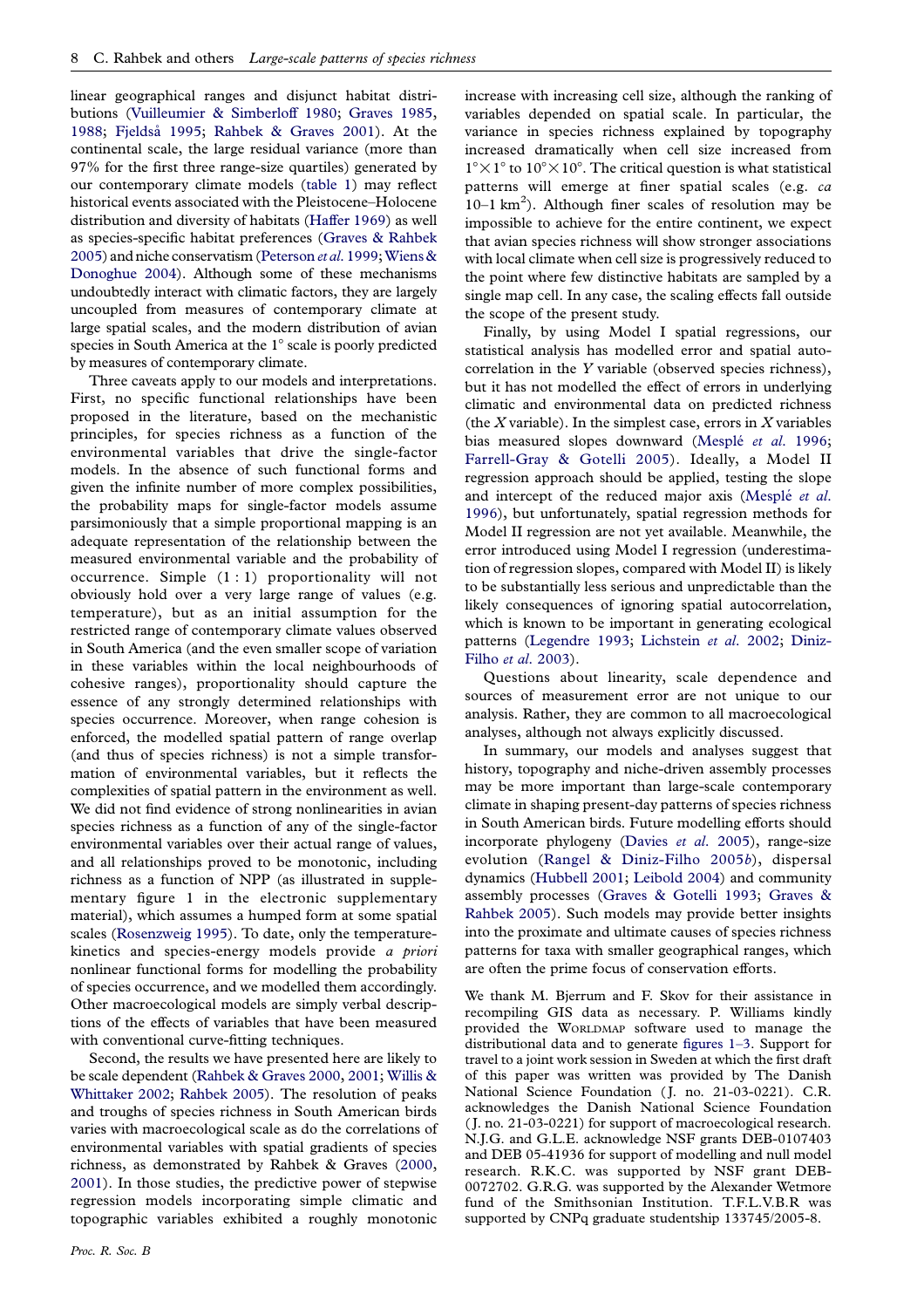linear geographical ranges and disjunct habitat distributions [\(Vuilleumier & Simberloff 1980](#page-9-0); [Graves 1985,](#page-8-0) [1988](#page-8-0); [Fjeldsa˚](#page-8-0) 1995; [Rahbek & Graves 2001\)](#page-8-0). At the continental scale, the large residual variance (more than 97% for the first three range-size quartiles) generated by our contemporary climate models [\(table 1\)](#page-4-0) may reflect historical events associated with the Pleistocene–Holocene distribution and diversity of habitats [\(Haffer 1969](#page-8-0)) as well as species-specific habitat preferences [\(Graves & Rahbek](#page-8-0) [2005\)](#page-8-0) and niche conservatism [\(Peterson](#page-8-0) et al. 1999; [Wiens &](#page-9-0) [Donoghue 2004\)](#page-9-0). Although some of these mechanisms undoubtedly interact with climatic factors, they are largely uncoupled from measures of contemporary climate at large spatial scales, and the modern distribution of avian species in South America at the  $1^\circ$  scale is poorly predicted by measures of contemporary climate.

Three caveats apply to our models and interpretations. First, no specific functional relationships have been proposed in the literature, based on the mechanistic principles, for species richness as a function of the environmental variables that drive the single-factor models. In the absence of such functional forms and given the infinite number of more complex possibilities, the probability maps for single-factor models assume parsimoniously that a simple proportional mapping is an adequate representation of the relationship between the measured environmental variable and the probability of occurrence. Simple (1 : 1) proportionality will not obviously hold over a very large range of values (e.g. temperature), but as an initial assumption for the restricted range of contemporary climate values observed in South America (and the even smaller scope of variation in these variables within the local neighbourhoods of cohesive ranges), proportionality should capture the essence of any strongly determined relationships with species occurrence. Moreover, when range cohesion is enforced, the modelled spatial pattern of range overlap (and thus of species richness) is not a simple transformation of environmental variables, but it reflects the complexities of spatial pattern in the environment as well. We did not find evidence of strong nonlinearities in avian species richness as a function of any of the single-factor environmental variables over their actual range of values, and all relationships proved to be monotonic, including richness as a function of NPP (as illustrated in supplementary figure 1 in the electronic supplementary material), which assumes a humped form at some spatial scales ([Rosenzweig 1995\)](#page-9-0). To date, only the temperaturekinetics and species-energy models provide a priori nonlinear functional forms for modelling the probability of species occurrence, and we modelled them accordingly. Other macroecological models are simply verbal descriptions of the effects of variables that have been measured with conventional curve-fitting techniques.

Second, the results we have presented here are likely to be scale dependent ([Rahbek & Graves 2000](#page-8-0), [2001;](#page-8-0) [Willis &](#page-9-0) [Whittaker 2002](#page-9-0); [Rahbek 2005](#page-8-0)). The resolution of peaks and troughs of species richness in South American birds varies with macroecological scale as do the correlations of environmental variables with spatial gradients of species richness, as demonstrated by Rahbek & Graves ([2000,](#page-8-0) [2001](#page-8-0)). In those studies, the predictive power of stepwise regression models incorporating simple climatic and topographic variables exhibited a roughly monotonic

Proc. R. Soc. B

increase with increasing cell size, although the ranking of variables depended on spatial scale. In particular, the variance in species richness explained by topography increased dramatically when cell size increased from  $1^{\circ} \times 1^{\circ}$  to  $10^{\circ} \times 10^{\circ}$ . The critical question is what statistical patterns will emerge at finer spatial scales (e.g. ca 10-1 km<sup>2</sup>). Although finer scales of resolution may be impossible to achieve for the entire continent, we expect that avian species richness will show stronger associations with local climate when cell size is progressively reduced to the point where few distinctive habitats are sampled by a single map cell. In any case, the scaling effects fall outside the scope of the present study.

Finally, by using Model I spatial regressions, our statistical analysis has modelled error and spatial autocorrelation in the Y variable (observed species richness), but it has not modelled the effect of errors in underlying climatic and environmental data on predicted richness (the X variable). In the simplest case, errors in X variables bias measured slopes downward (Mesplé et al. 1996; [Farrell-Gray & Gotelli 2005](#page-8-0)). Ideally, a Model II regression approach should be applied, testing the slope and intercept of the reduced major axis (Mesplé et al. [1996](#page-8-0)), but unfortunately, spatial regression methods for Model II regression are not yet available. Meanwhile, the error introduced using Model I regression (underestimation of regression slopes, compared with Model II) is likely to be substantially less serious and unpredictable than the likely consequences of ignoring spatial autocorrelation, which is known to be important in generating ecological patterns [\(Legendre 1993](#page-8-0); [Lichstein](#page-8-0) et al. 2002; [Diniz-](#page-8-0)Filho et al[. 2003\)](#page-8-0).

Questions about linearity, scale dependence and sources of measurement error are not unique to our analysis. Rather, they are common to all macroecological analyses, although not always explicitly discussed.

In summary, our models and analyses suggest that history, topography and niche-driven assembly processes may be more important than large-scale contemporary climate in shaping present-day patterns of species richness in South American birds. Future modelling efforts should incorporate phylogeny (Davies et al[. 2005\)](#page-8-0), range-size evolution ([Rangel & Diniz-Filho 2005](#page-9-0)b), dispersal dynamics ([Hubbell 2001](#page-8-0); [Leibold 2004\)](#page-8-0) and community assembly processes [\(Graves & Gotelli 1993;](#page-8-0) [Graves &](#page-8-0) [Rahbek 2005\)](#page-8-0). Such models may provide better insights into the proximate and ultimate causes of species richness patterns for taxa with smaller geographical ranges, which are often the prime focus of conservation efforts.

We thank M. Bierrum and F. Skov for their assistance in recompiling GIS data as necessary. P. Williams kindly provided the WORLDMAP software used to manage the distributional data and to generate [figures 1–3](#page-1-0). Support for travel to a joint work session in Sweden at which the first draft of this paper was written was provided by The Danish National Science Foundation (J. no. 21-03-0221). C.R. acknowledges the Danish National Science Foundation ( J. no. 21-03-0221) for support of macroecological research. N.J.G. and G.L.E. acknowledge NSF grants DEB-0107403 and DEB 05-41936 for support of modelling and null model research. R.K.C. was supported by NSF grant DEB-0072702. G.R.G. was supported by the Alexander Wetmore fund of the Smithsonian Institution. T.F.L.V.B.R was supported by CNPq graduate studentship 133745/2005-8.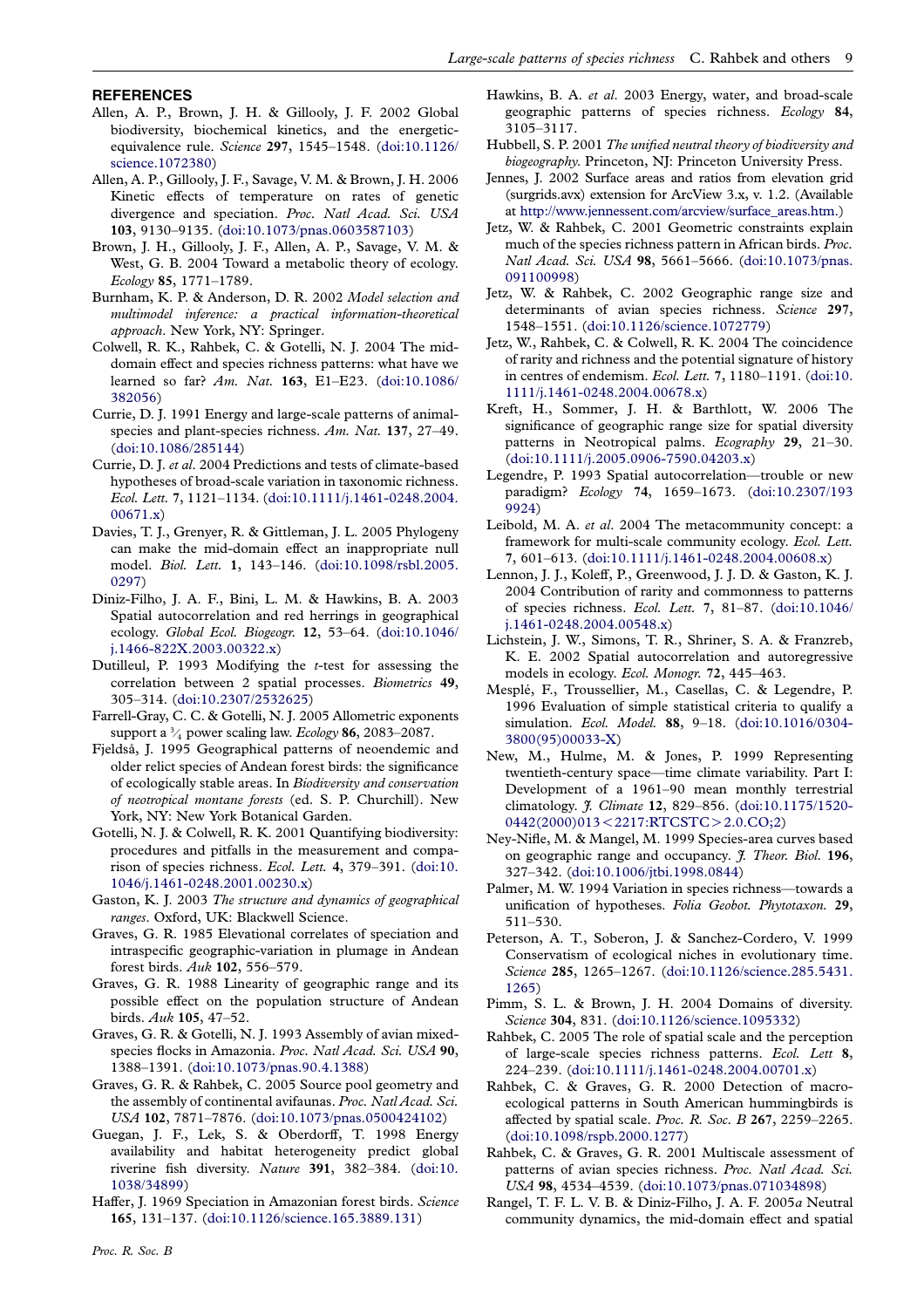## <span id="page-8-0"></span>**REFERENCES**

- Allen, A. P., Brown, J. H. & Gillooly, J. F. 2002 Global biodiversity, biochemical kinetics, and the energeticequivalence rule. Science 297, 1545–1548. ([doi:10.1126/](http://dx.doi.org/doi:10.1126/science.1072380) [science.1072380](http://dx.doi.org/doi:10.1126/science.1072380))
- Allen, A. P., Gillooly, J. F., Savage, V. M. & Brown, J. H. 2006 Kinetic effects of temperature on rates of genetic divergence and speciation. Proc. Natl Acad. Sci. USA 103, 9130–9135. [\(doi:10.1073/pnas.0603587103](http://dx.doi.org/doi:10.1073/pnas.0603587103))
- Brown, J. H., Gillooly, J. F., Allen, A. P., Savage, V. M. & West, G. B. 2004 Toward a metabolic theory of ecology. Ecology 85, 1771–1789.
- Burnham, K. P. & Anderson, D. R. 2002 Model selection and multimodel inference: a practical information-theoretical approach. New York, NY: Springer.
- Colwell, R. K., Rahbek, C. & Gotelli, N. J. 2004 The middomain effect and species richness patterns: what have we learned so far? Am. Nat. 163, E1–E23. ([doi:10.1086/](http://dx.doi.org/doi:10.1086/382056) [382056\)](http://dx.doi.org/doi:10.1086/382056)
- Currie, D. J. 1991 Energy and large-scale patterns of animalspecies and plant-species richness. Am. Nat. 137, 27-49. ([doi:10.1086/285144](http://dx.doi.org/doi:10.1086/285144))
- Currie, D. J. et al. 2004 Predictions and tests of climate-based hypotheses of broad-scale variation in taxonomic richness. Ecol. Lett. 7, 1121–1134. ([doi:10.1111/j.1461-0248.2004.](http://dx.doi.org/doi:10.1111/j.1461-0248.2004.00671.x) [00671.x](http://dx.doi.org/doi:10.1111/j.1461-0248.2004.00671.x))
- Davies, T. J., Grenyer, R. & Gittleman, J. L. 2005 Phylogeny can make the mid-domain effect an inappropriate null model. Biol. Lett. 1, 143–146. [\(doi:10.1098/rsbl.2005.](http://dx.doi.org/doi:10.1098/rsbl.2005.0297) [0297](http://dx.doi.org/doi:10.1098/rsbl.2005.0297))
- Diniz-Filho, J. A. F., Bini, L. M. & Hawkins, B. A. 2003 Spatial autocorrelation and red herrings in geographical ecology. Global Ecol. Biogeogr. 12, 53–64. ([doi:10.1046/](http://dx.doi.org/doi:10.1046/j.1466-822X.2003.00322.x) [j.1466-822X.2003.00322.x\)](http://dx.doi.org/doi:10.1046/j.1466-822X.2003.00322.x)
- Dutilleul, P. 1993 Modifying the t-test for assessing the correlation between 2 spatial processes. Biometrics 49, 305–314. [\(doi:10.2307/2532625\)](http://dx.doi.org/doi:10.2307/2532625)
- Farrell-Gray, C. C. & Gotelli, N. J. 2005 Allometric exponents support a  $\frac{3}{4}$  power scaling law. Ecology 86, 2083–2087.
- Fjeldså, J. 1995 Geographical patterns of neoendemic and older relict species of Andean forest birds: the significance of ecologically stable areas. In Biodiversity and conservation of neotropical montane forests (ed. S. P. Churchill). New York, NY: New York Botanical Garden.
- Gotelli, N. J. & Colwell, R. K. 2001 Quantifying biodiversity: procedures and pitfalls in the measurement and comparison of species richness. Ecol. Lett. 4, 379–391. ([doi:10.](http://dx.doi.org/doi:10.1046/j.1461-0248.2001.00230.x) [1046/j.1461-0248.2001.00230.x](http://dx.doi.org/doi:10.1046/j.1461-0248.2001.00230.x))
- Gaston, K. J. 2003 The structure and dynamics of geographical ranges. Oxford, UK: Blackwell Science.
- Graves, G. R. 1985 Elevational correlates of speciation and intraspecific geographic-variation in plumage in Andean forest birds. Auk 102, 556–579.
- Graves, G. R. 1988 Linearity of geographic range and its possible effect on the population structure of Andean birds. Auk 105, 47–52.
- Graves, G. R. & Gotelli, N. J. 1993 Assembly of avian mixedspecies flocks in Amazonia. Proc. Natl Acad. Sci. USA 90, 1388–1391. [\(doi:10.1073/pnas.90.4.1388](http://dx.doi.org/doi:10.1073/pnas.90.4.1388))
- Graves, G. R. & Rahbek, C. 2005 Source pool geometry and the assembly of continental avifaunas. Proc. Natl Acad. Sci. USA 102, 7871–7876. ([doi:10.1073/pnas.0500424102\)](http://dx.doi.org/doi:10.1073/pnas.0500424102)
- Guegan, J. F., Lek, S. & Oberdorff, T. 1998 Energy availability and habitat heterogeneity predict global riverine fish diversity. Nature 391, 382–384. ([doi:10.](http://dx.doi.org/doi:10.1038/34899) [1038/34899](http://dx.doi.org/doi:10.1038/34899))
- Haffer, J. 1969 Speciation in Amazonian forest birds. Science 165, 131–137. [\(doi:10.1126/science.165.3889.131\)](http://dx.doi.org/doi:10.1126/science.165.3889.131)
- Hawkins, B. A. et al. 2003 Energy, water, and broad-scale geographic patterns of species richness. Ecology 84, 3105–3117.
- Hubbell, S. P. 2001 The unified neutral theory of biodiversity and biogeography. Princeton, NJ: Princeton University Press.
- Jennes, J. 2002 Surface areas and ratios from elevation grid (surgrids.avx) extension for ArcView 3.x, v. 1.2. (Available at [http://www.jennessent.com/arcview/surface\\_areas.htm.](http://www.jennessent.com/arcview/surface_areas.htm.))
- Jetz, W. & Rahbek, C. 2001 Geometric constraints explain much of the species richness pattern in African birds. Proc. Natl Acad. Sci. USA 98, 5661–5666. [\(doi:10.1073/pnas.](http://dx.doi.org/doi:10.1073/pnas.091100998) [091100998\)](http://dx.doi.org/doi:10.1073/pnas.091100998)
- Jetz, W. & Rahbek, C. 2002 Geographic range size and determinants of avian species richness. Science 297, 1548–1551. [\(doi:10.1126/science.1072779](http://dx.doi.org/doi:10.1126/science.1072779))
- Jetz, W., Rahbek, C. & Colwell, R. K. 2004 The coincidence of rarity and richness and the potential signature of history in centres of endemism. Ecol. Lett. 7, 1180–1191. ([doi:10.](http://dx.doi.org/doi:10.1111/j.1461-0248.2004.00678.x) [1111/j.1461-0248.2004.00678.x](http://dx.doi.org/doi:10.1111/j.1461-0248.2004.00678.x))
- Kreft, H., Sommer, J. H. & Barthlott, W. 2006 The significance of geographic range size for spatial diversity patterns in Neotropical palms. Ecography 29, 21-30. ([doi:10.1111/j.2005.0906-7590.04203.x](http://dx.doi.org/doi:10.1111/j.2005.0906-7590.04203.x))
- Legendre, P. 1993 Spatial autocorrelation—trouble or new paradigm? Ecology 74, 1659–1673. ([doi:10.2307/193](http://dx.doi.org/doi:10.2307/1939924) [9924](http://dx.doi.org/doi:10.2307/1939924))
- Leibold, M. A. et al. 2004 The metacommunity concept: a framework for multi-scale community ecology. Ecol. Lett. 7, 601–613. [\(doi:10.1111/j.1461-0248.2004.00608.x\)](http://dx.doi.org/doi:10.1111/j.1461-0248.2004.00608.x)
- Lennon, J. J., Koleff, P., Greenwood, J. J. D. & Gaston, K. J. 2004 Contribution of rarity and commonness to patterns of species richness. Ecol. Lett. 7, 81–87. ([doi:10.1046/](http://dx.doi.org/doi:10.1046/j.1461-0248.2004.00548.x) [j.1461-0248.2004.00548.x\)](http://dx.doi.org/doi:10.1046/j.1461-0248.2004.00548.x)
- Lichstein, J. W., Simons, T. R., Shriner, S. A. & Franzreb, K. E. 2002 Spatial autocorrelation and autoregressive models in ecology. Ecol. Monogr. 72, 445–463.
- Mesplé, F., Troussellier, M., Casellas, C. & Legendre, P. 1996 Evaluation of simple statistical criteria to qualify a simulation. Ecol. Model. 88, 9-18. ([doi:10.1016/0304-](http://dx.doi.org/doi:10.1016/0304-3800(95)00033-X) [3800\(95\)00033-X\)](http://dx.doi.org/doi:10.1016/0304-3800(95)00033-X)
- New, M., Hulme, M. & Jones, P. 1999 Representing twentieth-century space—time climate variability. Part I: Development of a 1961–90 mean monthly terrestrial climatology. *J. Climate* 12, 829-856. ([doi:10.1175/1520-](http://dx.doi.org/doi:10.1175/1520-0442(2000)013%3C2217:RTCSTC%3E2.0.CO;2) 0442(2000)013<[2217:RTCSTC](http://dx.doi.org/doi:10.1175/1520-0442(2000)013%3C2217:RTCSTC%3E2.0.CO;2)>2.0.CO;2)
- Ney-Nifle, M. & Mangel, M. 1999 Species-area curves based on geographic range and occupancy. *J. Theor. Biol.* 196, 327–342. [\(doi:10.1006/jtbi.1998.0844\)](http://dx.doi.org/doi:10.1006/jtbi.1998.0844)
- Palmer, M. W. 1994 Variation in species richness—towards a unification of hypotheses. Folia Geobot. Phytotaxon. 29, 511–530.
- Peterson, A. T., Soberon, J. & Sanchez-Cordero, V. 1999 Conservatism of ecological niches in evolutionary time. Science 285, 1265-1267. [\(doi:10.1126/science.285.5431.](http://dx.doi.org/doi:10.1126/science.285.5431.1265) [1265](http://dx.doi.org/doi:10.1126/science.285.5431.1265))
- Pimm, S. L. & Brown, J. H. 2004 Domains of diversity. Science 304, 831. [\(doi:10.1126/science.1095332](http://dx.doi.org/doi:10.1126/science.1095332))
- Rahbek, C. 2005 The role of spatial scale and the perception of large-scale species richness patterns. Ecol. Lett 8, 224–239. [\(doi:10.1111/j.1461-0248.2004.00701.x\)](http://dx.doi.org/doi:10.1111/j.1461-0248.2004.00701.x)
- Rahbek, C. & Graves, G. R. 2000 Detection of macroecological patterns in South American hummingbirds is affected by spatial scale. Proc. R. Soc. B 267, 2259–2265. ([doi:10.1098/rspb.2000.1277](http://dx.doi.org/doi:10.1098/rspb.2000.1277))
- Rahbek, C. & Graves, G. R. 2001 Multiscale assessment of patterns of avian species richness. Proc. Natl Acad. Sci. USA 98, 4534–4539. [\(doi:10.1073/pnas.071034898](http://dx.doi.org/doi:10.1073/pnas.071034898))
- Rangel, T. F. L. V. B. & Diniz-Filho, J. A. F. 2005a Neutral community dynamics, the mid-domain effect and spatial